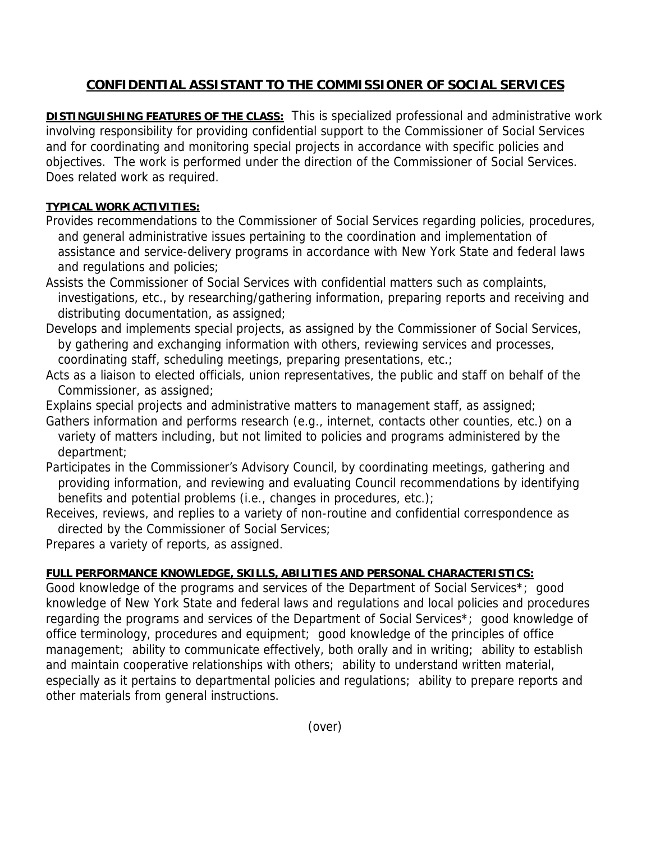## **CONFIDENTIAL ASSISTANT TO THE COMMISSIONER OF SOCIAL SERVICES**

**DISTINGUISHING FEATURES OF THE CLASS:** This is specialized professional and administrative work involving responsibility for providing confidential support to the Commissioner of Social Services and for coordinating and monitoring special projects in accordance with specific policies and objectives. The work is performed under the direction of the Commissioner of Social Services. Does related work as required.

## **TYPICAL WORK ACTIVITIES:**

- Provides recommendations to the Commissioner of Social Services regarding policies, procedures, and general administrative issues pertaining to the coordination and implementation of assistance and service-delivery programs in accordance with New York State and federal laws and regulations and policies;
- Assists the Commissioner of Social Services with confidential matters such as complaints, investigations, etc., by researching/gathering information, preparing reports and receiving and distributing documentation, as assigned;
- Develops and implements special projects, as assigned by the Commissioner of Social Services, by gathering and exchanging information with others, reviewing services and processes, coordinating staff, scheduling meetings, preparing presentations, etc.;
- Acts as a liaison to elected officials, union representatives, the public and staff on behalf of the Commissioner, as assigned;
- Explains special projects and administrative matters to management staff, as assigned;
- Gathers information and performs research (e.g., internet, contacts other counties, etc.) on a variety of matters including, but not limited to policies and programs administered by the department;
- Participates in the Commissioner's Advisory Council, by coordinating meetings, gathering and providing information, and reviewing and evaluating Council recommendations by identifying benefits and potential problems (i.e., changes in procedures, etc.);
- Receives, reviews, and replies to a variety of non-routine and confidential correspondence as directed by the Commissioner of Social Services;
- Prepares a variety of reports, as assigned.

## **FULL PERFORMANCE KNOWLEDGE, SKILLS, ABILITIES AND PERSONAL CHARACTERISTICS:**

Good knowledge of the programs and services of the Department of Social Services\*; good knowledge of New York State and federal laws and regulations and local policies and procedures regarding the programs and services of the Department of Social Services\*; good knowledge of office terminology, procedures and equipment; good knowledge of the principles of office management; ability to communicate effectively, both orally and in writing; ability to establish and maintain cooperative relationships with others; ability to understand written material, especially as it pertains to departmental policies and regulations; ability to prepare reports and other materials from general instructions.